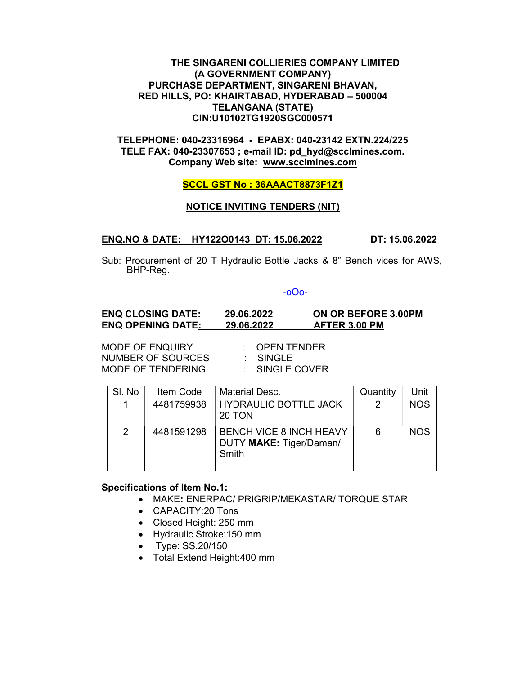## THE SINGARENI COLLIERIES COMPANY LIMITED (A GOVERNMENT COMPANY) PURCHASE DEPARTMENT, SINGARENI BHAVAN, RED HILLS, PO: KHAIRTABAD, HYDERABAD – 500004 TELANGANA (STATE) CIN:U10102TG1920SGC000571

TELEPHONE: 040-23316964 - EPABX: 040-23142 EXTN.224/225 TELE FAX: 040-23307653 ; e-mail ID: pd\_hyd@scclmines.com. Company Web site: www.scclmines.com

### SCCL GST No : 36AAACT8873F1Z1

#### NOTICE INVITING TENDERS (NIT)

#### ENQ.NO & DATE: \_ HY122O0143 DT: 15.06.2022 DT: 15.06.2022

Sub: Procurement of 20 T Hydraulic Bottle Jacks & 8" Bench vices for AWS, BHP-Reg.

#### -oOo-

# ENQ CLOSING DATE: 29.06.2022 ON OR BEFORE 3.00PM ENQ OPENING DATE: 29.06.2022 AFTER 3.00 PM

MODE OF ENQUIRY : OPEN TENDER NUMBER OF SOURCES : SINGLE MODE OF TENDERING : SINGLE COVER

| SI. No | Item Code  | <b>Material Desc.</b>                                              | Quantity | Unit       |
|--------|------------|--------------------------------------------------------------------|----------|------------|
|        | 4481759938 | <b>HYDRAULIC BOTTLE JACK</b><br>20 TON                             | າ        | <b>NOS</b> |
| 2      | 4481591298 | <b>BENCH VICE 8 INCH HEAVY</b><br>DUTY MAKE: Tiger/Daman/<br>Smith | 6        | <b>NOS</b> |

### Specifications of Item No.1:

- MAKE: ENERPAC/ PRIGRIP/MEKASTAR/ TORQUE STAR
- CAPACITY:20 Tons
- Closed Height: 250 mm
- Hydraulic Stroke: 150 mm
- Type: SS.20/150
- Total Extend Height: 400 mm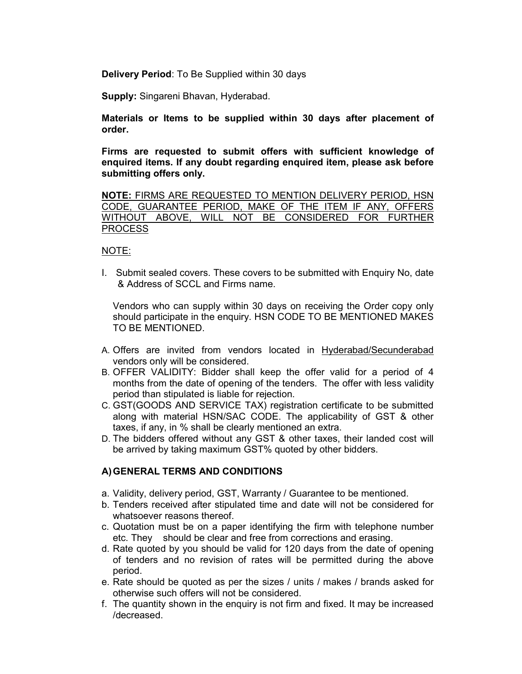Delivery Period: To Be Supplied within 30 days

Supply: Singareni Bhavan, Hyderabad.

Materials or Items to be supplied within 30 days after placement of order.

Firms are requested to submit offers with sufficient knowledge of enquired items. If any doubt regarding enquired item, please ask before submitting offers only.

NOTE: FIRMS ARE REQUESTED TO MENTION DELIVERY PERIOD, HSN CODE, GUARANTEE PERIOD, MAKE OF THE ITEM IF ANY, OFFERS WITHOUT ABOVE, WILL NOT BE CONSIDERED FOR FURTHER PROCESS

## NOTE:

I. Submit sealed covers. These covers to be submitted with Enquiry No, date & Address of SCCL and Firms name.

Vendors who can supply within 30 days on receiving the Order copy only should participate in the enquiry. HSN CODE TO BE MENTIONED MAKES TO BE MENTIONED.

- A. Offers are invited from vendors located in Hyderabad/Secunderabad vendors only will be considered.
- B. OFFER VALIDITY: Bidder shall keep the offer valid for a period of 4 months from the date of opening of the tenders. The offer with less validity period than stipulated is liable for rejection.
- C. GST(GOODS AND SERVICE TAX) registration certificate to be submitted along with material HSN/SAC CODE. The applicability of GST & other taxes, if any, in % shall be clearly mentioned an extra.
- D. The bidders offered without any GST & other taxes, their landed cost will be arrived by taking maximum GST% quoted by other bidders.

# A) GENERAL TERMS AND CONDITIONS

- a. Validity, delivery period, GST, Warranty / Guarantee to be mentioned.
- b. Tenders received after stipulated time and date will not be considered for whatsoever reasons thereof.
- c. Quotation must be on a paper identifying the firm with telephone number etc. They should be clear and free from corrections and erasing.
- d. Rate quoted by you should be valid for 120 days from the date of opening of tenders and no revision of rates will be permitted during the above period.
- e. Rate should be quoted as per the sizes / units / makes / brands asked for otherwise such offers will not be considered.
- f. The quantity shown in the enquiry is not firm and fixed. It may be increased /decreased.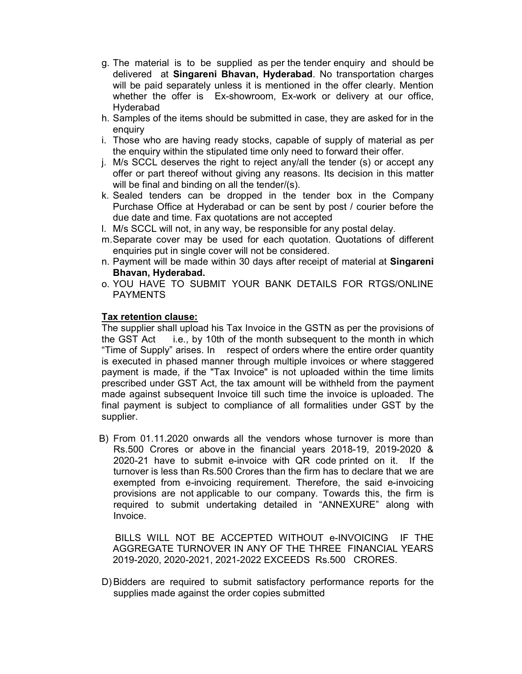- g. The material is to be supplied as per the tender enquiry and should be delivered at Singareni Bhavan, Hyderabad. No transportation charges will be paid separately unless it is mentioned in the offer clearly. Mention whether the offer is Ex-showroom, Ex-work or delivery at our office, Hyderabad
- h. Samples of the items should be submitted in case, they are asked for in the enquiry
- i. Those who are having ready stocks, capable of supply of material as per the enquiry within the stipulated time only need to forward their offer.
- j. M/s SCCL deserves the right to reject any/all the tender (s) or accept any offer or part thereof without giving any reasons. Its decision in this matter will be final and binding on all the tender/(s).
- k. Sealed tenders can be dropped in the tender box in the Company Purchase Office at Hyderabad or can be sent by post / courier before the due date and time. Fax quotations are not accepted
- l. M/s SCCL will not, in any way, be responsible for any postal delay.
- m. Separate cover may be used for each quotation. Quotations of different enquiries put in single cover will not be considered.
- n. Payment will be made within 30 days after receipt of material at Singareni Bhavan, Hyderabad.
- o. YOU HAVE TO SUBMIT YOUR BANK DETAILS FOR RTGS/ONLINE PAYMENTS

# Tax retention clause:

The supplier shall upload his Tax Invoice in the GSTN as per the provisions of the GST Act i.e., by 10th of the month subsequent to the month in which "Time of Supply" arises. In respect of orders where the entire order quantity is executed in phased manner through multiple invoices or where staggered payment is made, if the "Tax Invoice" is not uploaded within the time limits prescribed under GST Act, the tax amount will be withheld from the payment made against subsequent Invoice till such time the invoice is uploaded. The final payment is subject to compliance of all formalities under GST by the supplier.

B) From 01.11.2020 onwards all the vendors whose turnover is more than Rs.500 Crores or above in the financial years 2018-19, 2019-2020 & 2020-21 have to submit e-invoice with QR code printed on it. If the turnover is less than Rs.500 Crores than the firm has to declare that we are exempted from e-invoicing requirement. Therefore, the said e-invoicing provisions are not applicable to our company. Towards this, the firm is required to submit undertaking detailed in "ANNEXURE" along with Invoice.

 BILLS WILL NOT BE ACCEPTED WITHOUT e-INVOICING IF THE AGGREGATE TURNOVER IN ANY OF THE THREE FINANCIAL YEARS 2019-2020, 2020-2021, 2021-2022 EXCEEDS Rs.500 CRORES.

D) Bidders are required to submit satisfactory performance reports for the supplies made against the order copies submitted